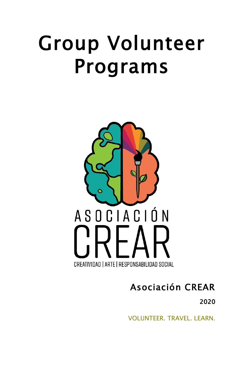# Group Volunteer Programs



# Asociación CREAR

2020

VOLUNTEER. TRAVEL. LEARN.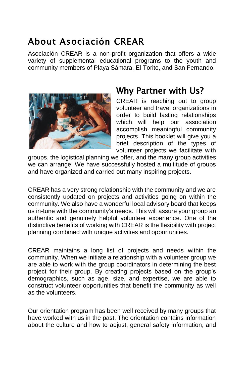## About Asociación CREAR

Asociación CREAR is a non-profit organization that offers a wide variety of supplemental educational programs to the youth and community members of Playa Sámara, El Torito, and San Fernando.



## Why Partner with Us?

CREAR is reaching out to group volunteer and travel organizations in order to build lasting relationships which will help our association accomplish meaningful community projects. This booklet will give you a brief description of the types of volunteer projects we facilitate with

groups, the logistical planning we offer, and the many group activities we can arrange. We have successfully hosted a multitude of groups and have organized and carried out many inspiring projects.

CREAR has a very strong relationship with the community and we are consistently updated on projects and activities going on within the community. We also have a wonderful local advisory board that keeps us in-tune with the community's needs. This will assure your group an authentic and genuinely helpful volunteer experience. One of the distinctive benefits of working with CREAR is the flexibility with project planning combined with unique activities and opportunities.

CREAR maintains a long list of projects and needs within the community. When we initiate a relationship with a volunteer group we are able to work with the group coordinators in determining the best project for their group. By creating projects based on the group's demographics, such as age, size, and expertise, we are able to construct volunteer opportunities that benefit the community as well as the volunteers.

Our orientation program has been well received by many groups that have worked with us in the past. The orientation contains information about the culture and how to adjust, general safety information, and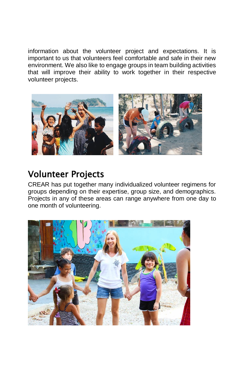information about the volunteer project and expectations. It is important to us that volunteers feel comfortable and safe in their new environment. We also like to engage groups in team building activities that will improve their ability to work together in their respective volunteer projects.



## Volunteer Projects

CREAR has put together many individualized volunteer regimens for groups depending on their expertise, group size, and demographics. Projects in any of these areas can range anywhere from one day to one month of volunteering.

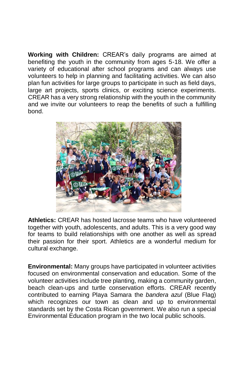**Working with Children:** CREAR's daily programs are aimed at benefiting the youth in the community from ages 5-18. We offer a variety of educational after school programs and can always use volunteers to help in planning and facilitating activities. We can also plan fun activities for large groups to participate in such as field days, large art projects, sports clinics, or exciting science experiments. CREAR has a very strong relationship with the youth in the community and we invite our volunteers to reap the benefits of such a fulfilling bond.



**Athletics:** CREAR has hosted lacrosse teams who have volunteered together with youth, adolescents, and adults. This is a very good way for teams to build relationships with one another as well as spread their passion for their sport. Athletics are a wonderful medium for cultural exchange.

**Environmental:** Many groups have participated in volunteer activities focused on environmental conservation and education. Some of the volunteer activities include tree planting, making a community garden, beach clean-ups and turtle conservation efforts. CREAR recently contributed to earning Playa Samara the *bandera azul* (Blue Flag) which recognizes our town as clean and up to environmental standards set by the Costa Rican government. We also run a special Environmental Education program in the two local public schools.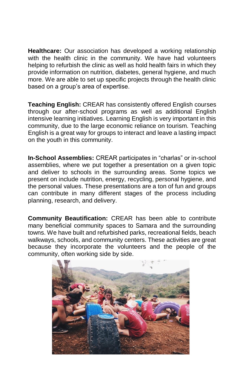**Healthcare:** Our association has developed a working relationship with the health clinic in the community. We have had volunteers helping to refurbish the clinic as well as hold health fairs in which they provide information on nutrition, diabetes, general hygiene, and much more. We are able to set up specific projects through the health clinic based on a group's area of expertise.

**Teaching English:** CREAR has consistently offered English courses through our after-school programs as well as additional English intensive learning initiatives. Learning English is very important in this community, due to the large economic reliance on tourism. Teaching English is a great way for groups to interact and leave a lasting impact on the youth in this community.

**In-School Assemblies:** CREAR participates in "charlas" or in-school assemblies, where we put together a presentation on a given topic and deliver to schools in the surrounding areas. Some topics we present on include nutrition, energy, recycling, personal hygiene, and the personal values. These presentations are a ton of fun and groups can contribute in many different stages of the process including planning, research, and delivery.

**Community Beautification:** CREAR has been able to contribute many beneficial community spaces to Samara and the surrounding towns. We have built and refurbished parks, recreational fields, beach walkways, schools, and community centers. These activities are great because they incorporate the volunteers and the people of the community, often working side by side.

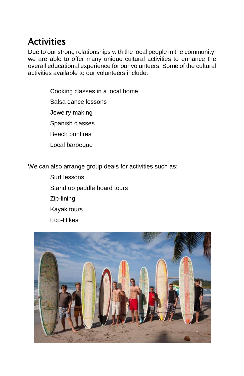## **Activities**

Due to our strong relationships with the local people in the community, we are able to offer many unique cultural activities to enhance the overall educational experience for our volunteers. Some of the cultural activities available to our volunteers include:

> Cooking classes in a local home Salsa dance lessons Jewelry making Spanish classes Beach bonfires Local barbeque

We can also arrange group deals for activities such as:

Surf lessons Stand up paddle board tours Zip-lining Kayak tours Eco-Hikes

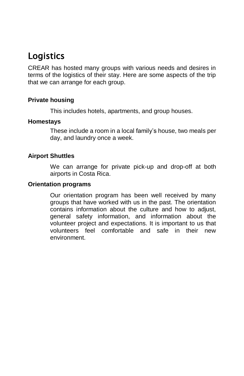## Logistics

CREAR has hosted many groups with various needs and desires in terms of the logistics of their stay. Here are some aspects of the trip that we can arrange for each group.

#### **Private housing**

This includes hotels, apartments, and group houses.

#### **Homestays**

These include a room in a local family's house, two meals per day, and laundry once a week.

#### **Airport Shuttles**

We can arrange for private pick-up and drop-off at both airports in Costa Rica.

#### **Orientation programs**

Our orientation program has been well received by many groups that have worked with us in the past. The orientation contains information about the culture and how to adjust, general safety information, and information about the volunteer project and expectations. It is important to us that volunteers feel comfortable and safe in their new environment.